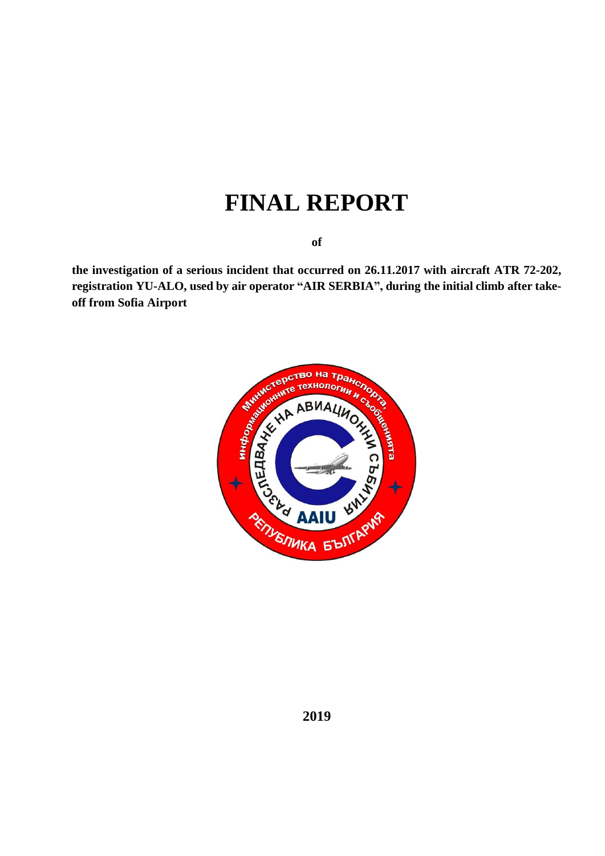# **FINAL REPORT**

**of**

**the investigation of a serious incident that occurred on 26.11.2017 with aircraft ATR 72-202, registration YU-ALO, used by air operator "AIR SERBIA", during the initial climb after takeoff from Sofia Airport**

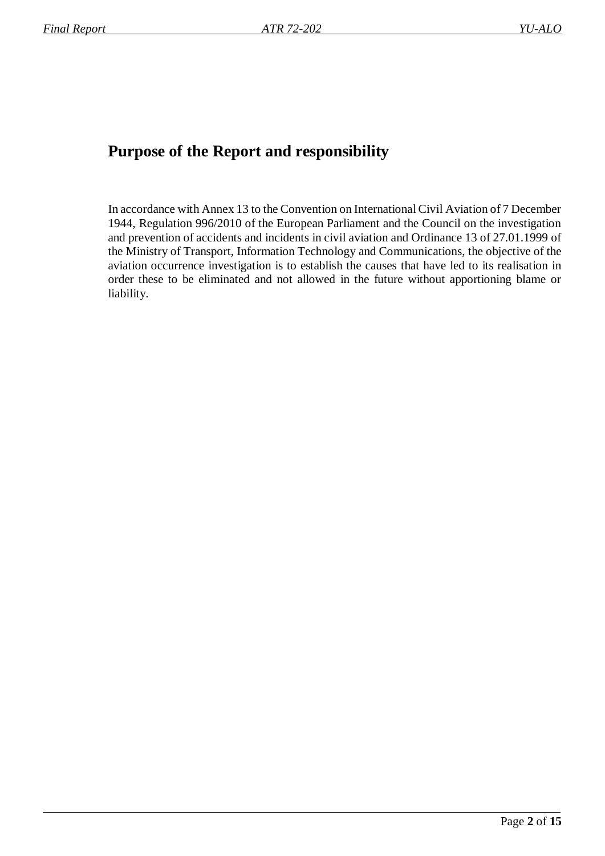## **Purpose of the Report and responsibility**

In accordance with Annex 13 to the Convention on International Civil Aviation of 7 December 1944, Regulation 996/2010 of the European Parliament and the Council on the investigation and prevention of accidents and incidents in civil aviation and Ordinance 13 of 27.01.1999 of the Ministry of Transport, Information Technology and Communications, the objective of the aviation occurrence investigation is to establish the causes that have led to its realisation in order these to be eliminated and not allowed in the future without apportioning blame or liability.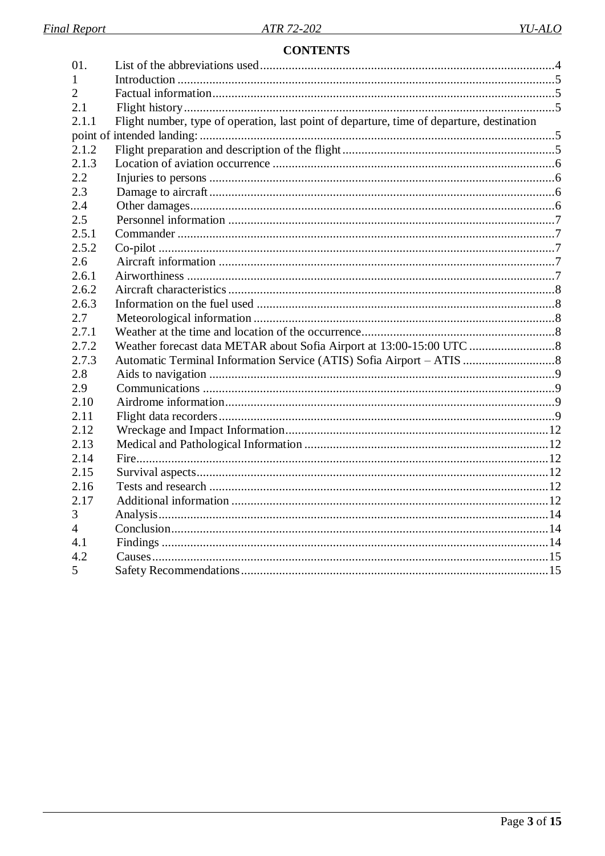## **CONTENTS**

| 01.            |                                                                                           |  |
|----------------|-------------------------------------------------------------------------------------------|--|
|                |                                                                                           |  |
| $\overline{2}$ |                                                                                           |  |
| 2.1            |                                                                                           |  |
| 2.1.1          | Flight number, type of operation, last point of departure, time of departure, destination |  |
|                |                                                                                           |  |
| 2.1.2          |                                                                                           |  |
| 2.1.3          |                                                                                           |  |
| 2.2            |                                                                                           |  |
| 2.3            |                                                                                           |  |
| 2.4            |                                                                                           |  |
| 2.5            |                                                                                           |  |
| 2.5.1          |                                                                                           |  |
| 2.5.2          |                                                                                           |  |
| 2.6            |                                                                                           |  |
| 2.6.1          |                                                                                           |  |
| 2.6.2          |                                                                                           |  |
| 2.6.3          |                                                                                           |  |
| 2.7            |                                                                                           |  |
| 2.7.1          |                                                                                           |  |
| 2.7.2          |                                                                                           |  |
| 2.7.3          |                                                                                           |  |
| 2.8            |                                                                                           |  |
| 2.9            |                                                                                           |  |
| 2.10           |                                                                                           |  |
| 2.11           |                                                                                           |  |
| 2.12           |                                                                                           |  |
| 2.13           |                                                                                           |  |
| 2.14           |                                                                                           |  |
| 2.15           |                                                                                           |  |
| 2.16           |                                                                                           |  |
| 2.17           |                                                                                           |  |
| 3              |                                                                                           |  |
| 4              |                                                                                           |  |
| 4.1            |                                                                                           |  |
| 4.2            |                                                                                           |  |
| 5.             |                                                                                           |  |
|                |                                                                                           |  |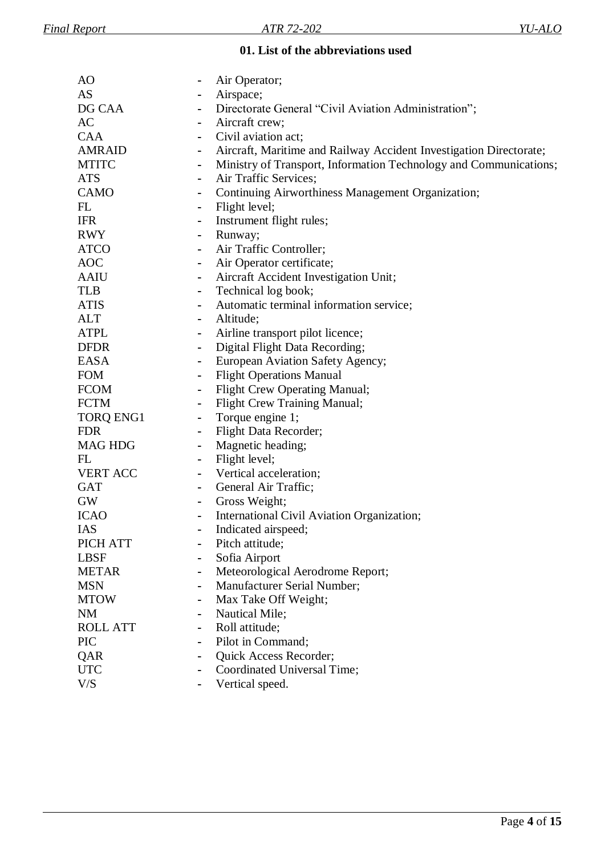#### **01. List of the abbreviations used**

<span id="page-3-0"></span>

| AO               |                              | Air Operator;                                                      |
|------------------|------------------------------|--------------------------------------------------------------------|
| AS               |                              | Airspace;                                                          |
| DG CAA           |                              | Directorate General "Civil Aviation Administration";               |
| AC               | $\blacksquare$               | Aircraft crew;                                                     |
| <b>CAA</b>       |                              | Civil aviation act;                                                |
| <b>AMRAID</b>    |                              | Aircraft, Maritime and Railway Accident Investigation Directorate; |
| <b>MTITC</b>     |                              | Ministry of Transport, Information Technology and Communications;  |
| <b>ATS</b>       |                              | Air Traffic Services;                                              |
| <b>CAMO</b>      | $\qquad \qquad \blacksquare$ | Continuing Airworthiness Management Organization;                  |
| FL               | $\blacksquare$               | Flight level;                                                      |
| <b>IFR</b>       | $\blacksquare$               | Instrument flight rules;                                           |
| <b>RWY</b>       | $\blacksquare$               | Runway;                                                            |
| <b>ATCO</b>      |                              | Air Traffic Controller;                                            |
| <b>AOC</b>       | $\blacksquare$               | Air Operator certificate;                                          |
| <b>AAIU</b>      | $\blacksquare$               | Aircraft Accident Investigation Unit;                              |
| <b>TLB</b>       | $\blacksquare$               | Technical log book;                                                |
| <b>ATIS</b>      | $\blacksquare$               | Automatic terminal information service;                            |
| <b>ALT</b>       |                              | Altitude;                                                          |
| <b>ATPL</b>      |                              | Airline transport pilot licence;                                   |
| <b>DFDR</b>      |                              | Digital Flight Data Recording;                                     |
| <b>EASA</b>      | $\blacksquare$               | European Aviation Safety Agency;                                   |
| <b>FOM</b>       | $\blacksquare$               | <b>Flight Operations Manual</b>                                    |
| <b>FCOM</b>      | $\blacksquare$               | <b>Flight Crew Operating Manual;</b>                               |
| <b>FCTM</b>      | $\blacksquare$               | Flight Crew Training Manual;                                       |
| <b>TORQ ENG1</b> | $\blacksquare$               | Torque engine 1;                                                   |
| <b>FDR</b>       | $\blacksquare$               | Flight Data Recorder;                                              |
| <b>MAG HDG</b>   | $\blacksquare$               | Magnetic heading;                                                  |
| FL               | $\blacksquare$               | Flight level;                                                      |
| <b>VERT ACC</b>  | $\blacksquare$               | Vertical acceleration;                                             |
| <b>GAT</b>       | $\overline{\phantom{0}}$     | General Air Traffic;                                               |
| <b>GW</b>        | $\blacksquare$               | Gross Weight;                                                      |
| <b>ICAO</b>      |                              | International Civil Aviation Organization;                         |
| IAS              |                              | Indicated airspeed;                                                |
| PICH ATT         |                              | Pitch attitude;                                                    |
| <b>LBSF</b>      | $\blacksquare$               | Sofia Airport                                                      |
| <b>METAR</b>     | $\blacksquare$               | Meteorological Aerodrome Report;                                   |
| <b>MSN</b>       |                              | Manufacturer Serial Number;                                        |
| <b>MTOW</b>      |                              | Max Take Off Weight;                                               |
| <b>NM</b>        |                              | Nautical Mile;                                                     |
| <b>ROLL ATT</b>  | $\blacksquare$               | Roll attitude;                                                     |
| <b>PIC</b>       |                              | Pilot in Command;                                                  |
| QAR              |                              | Quick Access Recorder;                                             |
| <b>UTC</b>       |                              | Coordinated Universal Time;                                        |
| V/S              |                              | Vertical speed.                                                    |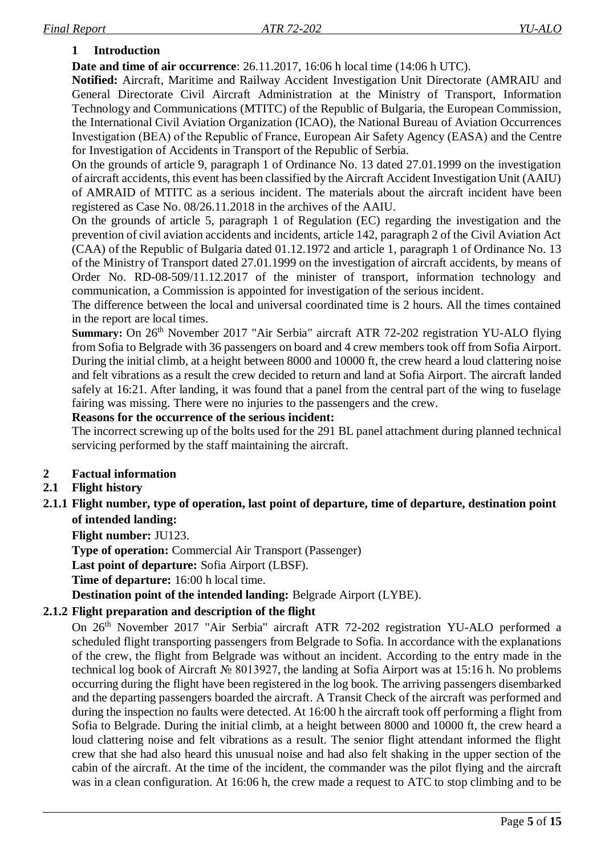## <span id="page-4-0"></span>**1 Introduction**

**Date and time of air occurrence**: 26.11.2017, 16:06 h local time (14:06 h UTC).

**Notified:** Aircraft, Maritime and Railway Accident Investigation Unit Directorate (AMRAIU and General Directorate Civil Aircraft Administration at the Ministry of Transport, Information Technology and Communications (MTITC) of the Republic of Bulgaria, the European Commission, the International Civil Aviation Organization (ICAO), the National Bureau of Aviation Occurrences Investigation (ВЕА) of the Republic of France, European Air Safety Agency (EASA) and the Centre for Investigation of Accidents in Transport of the Republic of Serbia.

On the grounds of article 9, paragraph 1 of Ordinance No. 13 dated 27.01.1999 on the investigation of aircraft accidents, this event has been classified by the Aircraft Accident Investigation Unit (AAIU) of AMRAID of MTITC as a serious incident. The materials about the aircraft incident have been registered as Case No. 08/26.11.2018 in the archives of the AAIU.

On the grounds of article 5, paragraph 1 of Regulation (EC) regarding the investigation and the prevention of civil aviation accidents and incidents, article 142, paragraph 2 of the Civil Aviation Act (CAA) of the Republic of Bulgaria dated 01.12.1972 and article 1, paragraph 1 of Ordinance No. 13 of the Ministry of Transport dated 27.01.1999 on the investigation of aircraft accidents, by means of Order No. RD-08-509/11.12.2017 of the minister of transport, information technology and communication, a Commission is appointed for investigation of the serious incident.

The difference between the local and universal coordinated time is 2 hours. All the times contained in the report are local times.

**Summary:** On 26<sup>th</sup> November 2017 "Air Serbia" aircraft ATR 72-202 registration YU-ALO flying from Sofia to Belgrade with 36 passengers on board and 4 crew members took off from Sofia Airport. During the initial climb, at a height between 8000 and 10000 ft, the crew heard a loud clattering noise and felt vibrations as a result the crew decided to return and land at Sofia Airport. The aircraft landed safely at 16:21. After landing, it was found that a panel from the central part of the wing to fuselage fairing was missing. There were no injuries to the passengers and the crew.

## **Reasons for the occurrence of the serious incident:**

The incorrect screwing up of the bolts used for the 291 BL panel attachment during planned technical servicing performed by the staff maintaining the aircraft.

## <span id="page-4-1"></span>**2 Factual information**

## <span id="page-4-2"></span>**2.1 Flight history**

## <span id="page-4-3"></span>**2.1.1 Flight number, type of operation, last point of departure, time of departure, destination point of intended landing:**

**Flight number:** JU123.

**Type of operation:** Commercial Air Transport (Passenger)

**Last point of departure:** Sofia Airport (LBSF).

**Time of departure:** 16:00 h local time.

<span id="page-4-4"></span>**Destination point of the intended landing:** Belgrade Airport (LYBE).

## **2.1.2 Flight preparation and description of the flight**

On 26<sup>th</sup> November 2017 "Air Serbia" aircraft ATR 72-202 registration YU-ALO performed a scheduled flight transporting passengers from Belgrade to Sofia. In accordance with the explanations of the crew, the flight from Belgrade was without an incident. According to the entry made in the technical log book of Aircraft № 8013927, the landing at Sofia Airport was at 15:16 h. No problems occurring during the flight have been registered in the log book. The arriving passengers disembarked and the departing passengers boarded the aircraft. A Transit Check of the aircraft was performed and during the inspection no faults were detected. At 16:00 h the aircraft took off performing a flight from Sofia to Belgrade. During the initial climb, at a height between 8000 and 10000 ft, the crew heard a loud clattering noise and felt vibrations as a result. The senior flight attendant informed the flight crew that she had also heard this unusual noise and had also felt shaking in the upper section of the cabin of the aircraft. At the time of the incident, the commander was the pilot flying and the aircraft was in a clean configuration. At 16:06 h, the crew made a request to ATC to stop climbing and to be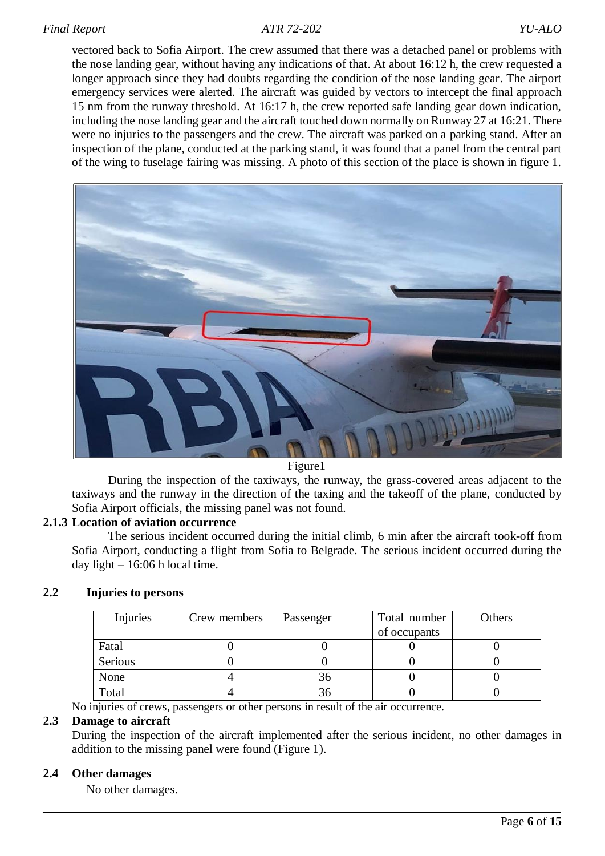vectored back to Sofia Airport. The crew assumed that there was a detached panel or problems with the nose landing gear, without having any indications of that. At about 16:12 h, the crew requested a longer approach since they had doubts regarding the condition of the nose landing gear. The airport emergency services were alerted. The aircraft was guided by vectors to intercept the final approach 15 nm from the runway threshold. At 16:17 h, the crew reported safe landing gear down indication, including the nose landing gear and the aircraft touched down normally on Runway 27 at 16:21. There were no injuries to the passengers and the crew. The aircraft was parked on a parking stand. After an inspection of the plane, conducted at the parking stand, it was found that a panel from the central part of the wing to fuselage fairing was missing. A photo of this section of the place is shown in figure 1.



Figure1

During the inspection of the taxiways, the runway, the grass-covered areas adjacent to the taxiways and the runway in the direction of the taxing and the takeoff of the plane, conducted by Sofia Airport officials, the missing panel was not found.

## **2.1.3 Location of aviation occurrence**

<span id="page-5-0"></span>The serious incident occurred during the initial climb, 6 min after the aircraft took-off from Sofia Airport, conducting a flight from Sofia to Belgrade. The serious incident occurred during the day light  $-16:06$  h local time.

## <span id="page-5-1"></span>**2.2 Injuries to persons**

| Injuries | Crew members | Passenger | Total number | Others |
|----------|--------------|-----------|--------------|--------|
|          |              |           | of occupants |        |
| Fatal    |              |           |              |        |
| Serious  |              |           |              |        |
| None     |              | 36        |              |        |
| Total    |              | 36        |              |        |

<span id="page-5-2"></span>No injuries of crews, passengers or other persons in result of the air occurrence.

#### **2.3 Damage to aircraft**

<span id="page-5-3"></span>During the inspection of the aircraft implemented after the serious incident, no other damages in addition to the missing panel were found (Figure 1).

## **2.4 Other damages**

No other damages.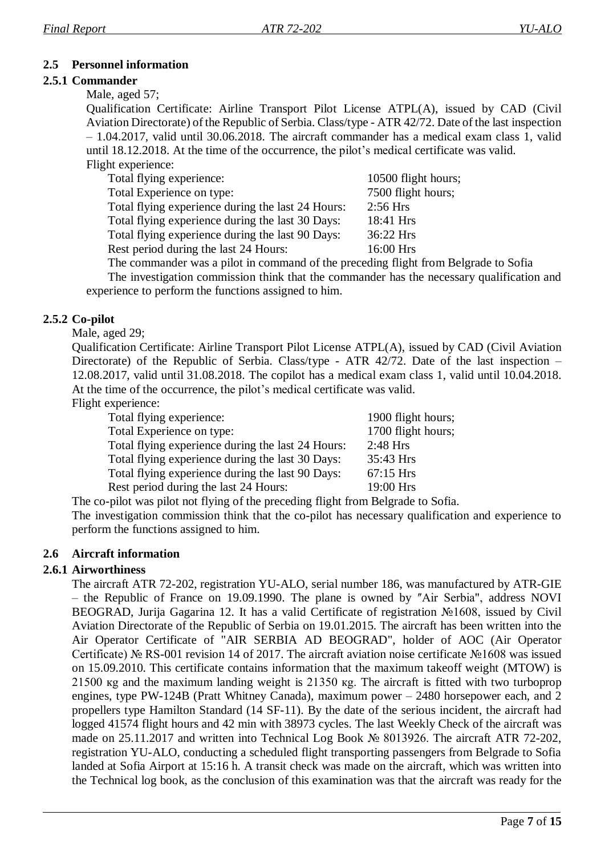## <span id="page-6-0"></span>**2.5 Personnel information**

## **2.5.1 Commander**

<span id="page-6-1"></span>Male, aged 57;

Qualification Certificate: Airline Transport Pilot License ATPL(A), issued by CAD (Civil Aviation Directorate) of the Republic of Serbia. Class/type - ATR 42/72. Date of the last inspection – 1.04.2017, valid until 30.06.2018. The aircraft commander has a medical exam class 1, valid until 18.12.2018. At the time of the occurrence, the pilot's medical certificate was valid. Flight experience:

| Total flying experience:                          | 10500 flight hours; |
|---------------------------------------------------|---------------------|
| Total Experience on type:                         | 7500 flight hours;  |
| Total flying experience during the last 24 Hours: | $2:56$ Hrs          |
| Total flying experience during the last 30 Days:  | 18:41 Hrs           |
| Total flying experience during the last 90 Days:  | 36:22 Hrs           |
| Rest period during the last 24 Hours:             | 16:00 Hrs           |
|                                                   |                     |

The commander was a pilot in command of the preceding flight from Belgrade to Sofia The investigation commission think that the commander has the necessary qualification and experience to perform the functions assigned to him.

## **2.5.2 Co-pilot**

<span id="page-6-2"></span>Male, aged 29;

Qualification Certificate: Airline Transport Pilot License ATPL(A), issued by CAD (Civil Aviation Directorate) of the Republic of Serbia. Class/type - ATR 42/72. Date of the last inspection – 12.08.2017, valid until 31.08.2018. The copilot has a medical exam class 1, valid until 10.04.2018. At the time of the occurrence, the pilot's medical certificate was valid.

Flight experience:

| Total flying experience:                          | 1900 flight hours; |
|---------------------------------------------------|--------------------|
| Total Experience on type:                         | 1700 flight hours; |
| Total flying experience during the last 24 Hours: | $2:48$ Hrs         |
| Total flying experience during the last 30 Days:  | 35:43 Hrs          |
| Total flying experience during the last 90 Days:  | 67:15 Hrs          |
| Rest period during the last 24 Hours:             | 19:00 Hrs          |

The co-pilot was pilot not flying of the preceding flight from Belgrade to Sofia.

<span id="page-6-3"></span>The investigation commission think that the co-pilot has necessary qualification and experience to perform the functions assigned to him.

## **2.6 Aircraft information**

## **2.6.1 Airworthiness**

<span id="page-6-4"></span>The aircraft ATR 72-202, registration YU-ALO, serial number 186, was manufactured by ATR-GIE – the Republic of France on 19.09.1990. The plane is owned by "Air Serbia", address NOVI BEOGRAD, Jurija Gagarina 12. It has a valid Certificate of registration №1608, issued by Civil Aviation Directorate of the Republic of Serbia on 19.01.2015. The aircraft has been written into the Air Operator Certificate of "AIR SERBIA AD BEOGRAD", holder of AOC (Air Operator Certificate) № RS-001 revision 14 of 2017. The aircraft aviation noise certificate №1608 was issued on 15.09.2010. This certificate contains information that the maximum takeoff weight (MTOW) is 21500 кg and the maximum landing weight is 21350 кg. The aircraft is fitted with two turboprop engines, type PW-124B (Pratt Whitney Canada), maximum power – 2480 horsepower each, and 2 propellers type Hamilton Standard (14 SF-11). By the date of the serious incident, the aircraft had logged 41574 flight hours and 42 min with 38973 cycles. The last Weekly Check of the aircraft was made on 25.11.2017 and written into Technical Log Book № 8013926. The aircraft ATR 72-202, registration YU-ALO, conducting a scheduled flight transporting passengers from Belgrade to Sofia landed at Sofia Airport at 15:16 h. A transit check was made on the aircraft, which was written into the Technical log book, as the conclusion of this examination was that the aircraft was ready for the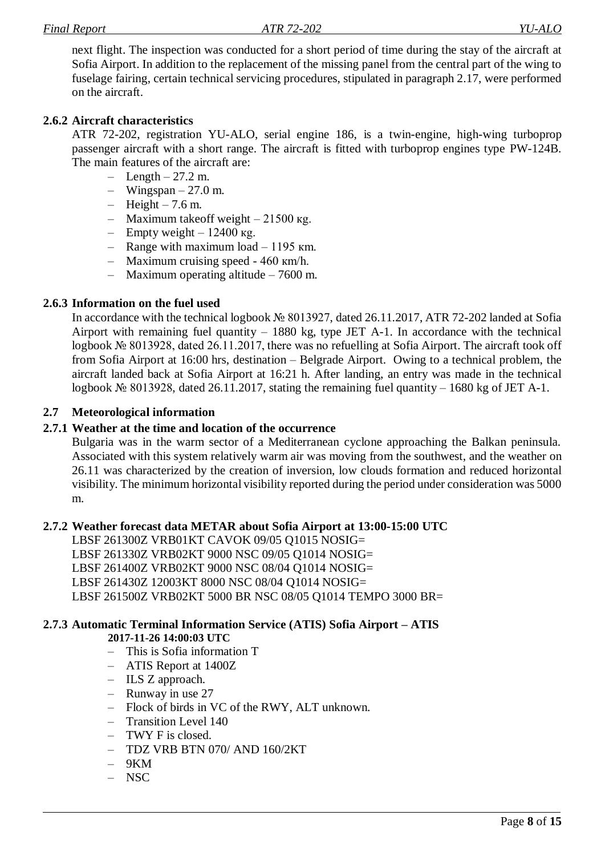next flight. The inspection was conducted for a short period of time during the stay of the aircraft at Sofia Airport. In addition to the replacement of the missing panel from the central part of the wing to fuselage fairing, certain technical servicing procedures, stipulated in paragraph 2.17, were performed on the aircraft.

#### **2.6.2 Aircraft characteristics**

<span id="page-7-0"></span>ATR 72-202, registration YU-ALO, serial engine 186, is a twin-engine, high-wing turboprop passenger aircraft with a short range. The aircraft is fitted with turboprop engines type PW-124B. The main features of the aircraft are:

- $-$  Length  $-27.2$  m.
- Wingspan  $27.0$  m.
- $-$  Height  $-7.6$  m.
- Maximum takeoff weight  $-21500$  kg.
- Empty weight  $12400$  kg.
- Range with maximum load  $-1195$  km.
- Maximum cruising speed  $460 \text{ km/h}$ .
- Maximum operating altitude 7600 m.

#### **2.6.3 Information on the fuel used**

<span id="page-7-1"></span>In accordance with the technical logbook № 8013927, dated 26.11.2017, ATR 72-202 landed at Sofia Airport with remaining fuel quantity  $-1880$  kg, type JET A-1. In accordance with the technical logbook № 8013928, dated 26.11.2017, there was no refuelling at Sofia Airport. The aircraft took off from Sofia Airport at 16:00 hrs, destination – Belgrade Airport. Owing to a technical problem, the aircraft landed back at Sofia Airport at 16:21 h. After landing, an entry was made in the technical logbook № 8013928, dated 26.11.2017, stating the remaining fuel quantity – 1680 kg of JET A-1.

#### <span id="page-7-2"></span>**2.7 Meteorological information**

#### **2.7.1 Weather at the time and location of the occurrence**

<span id="page-7-3"></span>Bulgaria was in the warm sector of a Mediterranean cyclone approaching the Balkan peninsula. Associated with this system relatively warm air was moving from the southwest, and the weather on 26.11 was characterized by the creation of inversion, low clouds formation and reduced horizontal visibility. The minimum horizontal visibility reported during the period under consideration was 5000 m.

#### **2.7.2 Weather forecast data METAR about Sofia Airport at 13:00-15:00 UTC**

<span id="page-7-4"></span>LBSF 261300Z VRB01KT CAVOK 09/05 Q1015 NOSIG= LBSF 261330Z VRB02KT 9000 NSC 09/05 Q1014 NOSIG= LBSF 261400Z VRB02KT 9000 NSC 08/04 Q1014 NOSIG= LBSF 261430Z 12003KT 8000 NSC 08/04 Q1014 NOSIG= LBSF 261500Z VRB02KT 5000 BR NSC 08/05 Q1014 TEMPO 3000 BR=

#### <span id="page-7-5"></span>**2.7.3 Automatic Terminal Information Service (ATIS) Sofia Airport – ATIS**

#### **2017-11-26 14:00:03 UTC**

- This is Sofia information T
- ATIS Report at 1400Z
- ILS Z approach.
- Runway in use 27
- Flock of birds in VC of the RWY, ALT unknown.
- Transition Level 140
- TWY F is closed.
- TDZ VRB BTN 070/ AND 160/2KT
- $-9KM$
- NSC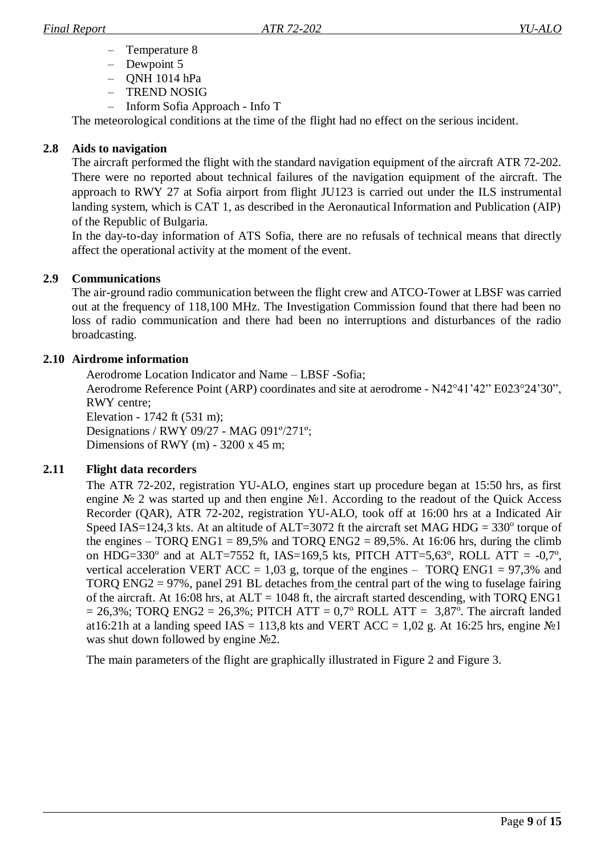- Temperature 8
- Dewpoint 5
- QNH 1014 hPa
- TREND NOSIG
- Inform Sofia Approach Info T

The meteorological conditions at the time of the flight had no effect on the serious incident.

## **2.8 Aids to navigation**

<span id="page-8-0"></span>The aircraft performed the flight with the standard navigation equipment of the aircraft ATR 72-202. There were no reported about technical failures of the navigation equipment of the aircraft. The approach to RWY 27 at Sofia airport from flight JU123 is carried out under the ILS instrumental landing system, which is CAT 1, as described in the Aeronautical Information and Publication (AIP) of the Republic of Bulgaria.

In the day-to-day information of ATS Sofia, there are no refusals of technical means that directly affect the operational activity at the moment of the event.

## **2.9 Communications**

<span id="page-8-1"></span>The air-ground radio communication between the flight crew and ATCO-Tower at LBSF was carried out at the frequency of 118,100 MHz. The Investigation Commission found that there had been no loss of radio communication and there had been no interruptions and disturbances of the radio broadcasting.

## <span id="page-8-2"></span>**2.10 Airdrome information**

Aerodrome Location Indicator and Name – LBSF -Sofia;

Aerodrome Reference Point (ARP) coordinates and site at aerodrome - N42°41'42" E023°24'30", RWY centre;

Elevation - 1742 ft (531 m); Designations / RWY 09/27 - MAG 091º/271º; Dimensions of RWY (m) -  $3200 \times 45$  m;

## <span id="page-8-3"></span>**2.11 Flight data recorders**

The ATR 72-202, registration YU-ALO, engines start up procedure began at 15:50 hrs, as first engine № 2 was started up and then engine №1. According to the readout of the Quick Access Recorder (QAR), ATR 72-202, registration YU-ALO, took off at 16:00 hrs at a Indicated Air Speed IAS=124,3 kts. At an altitude of ALT=3072 ft the aircraft set MAG HDG =  $330^{\circ}$  torque of the engines – TORQ ENG1 =  $89,5\%$  and TORQ ENG2 =  $89,5\%$ . At 16:06 hrs, during the climb on HDG=330 $^{\circ}$  and at ALT=7552 ft, IAS=169,5 kts, PITCH ATT=5,63 $^{\circ}$ , ROLL ATT = -0,7 $^{\circ}$ , vertical acceleration VERT ACC = 1,03 g, torque of the engines – TORQ ENG1 = 97,3% and TORQ ENG2 = 97%, panel 291 BL detaches from the central part of the wing to fuselage fairing of the aircraft. At 16:08 hrs, at  $ALT = 1048$  ft, the aircraft started descending, with TORQ ENG1  $= 26,3\%$ ; TORQ ENG2 = 26,3%; PITCH ATT = 0,7° ROLL ATT = 3,87°. The aircraft landed at16:21h at a landing speed IAS = 113,8 kts and VERT ACC = 1,02 g. At 16:25 hrs, engine  $\mathcal{N}$ <sup>1</sup> was shut down followed by engine №2.

The main parameters of the flight are graphically illustrated in Figure 2 and Figure 3.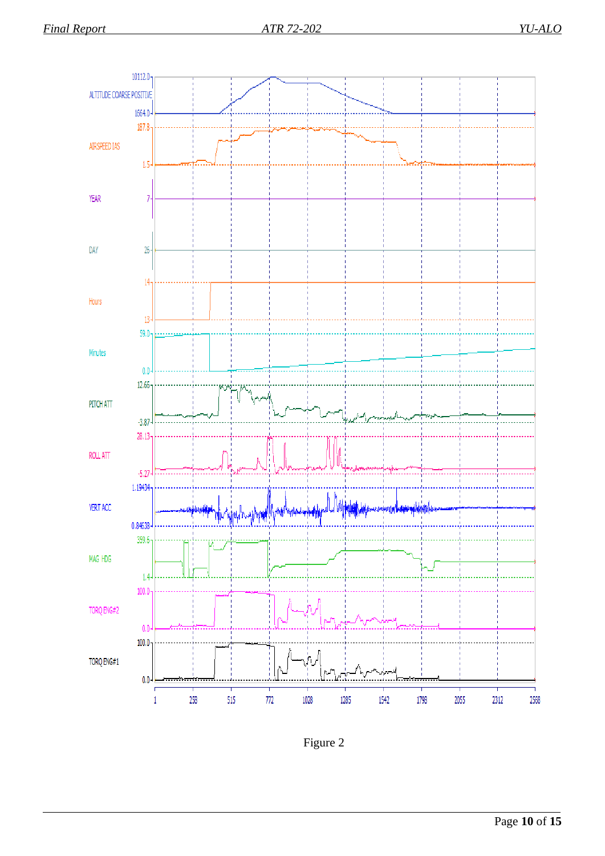

Figure 2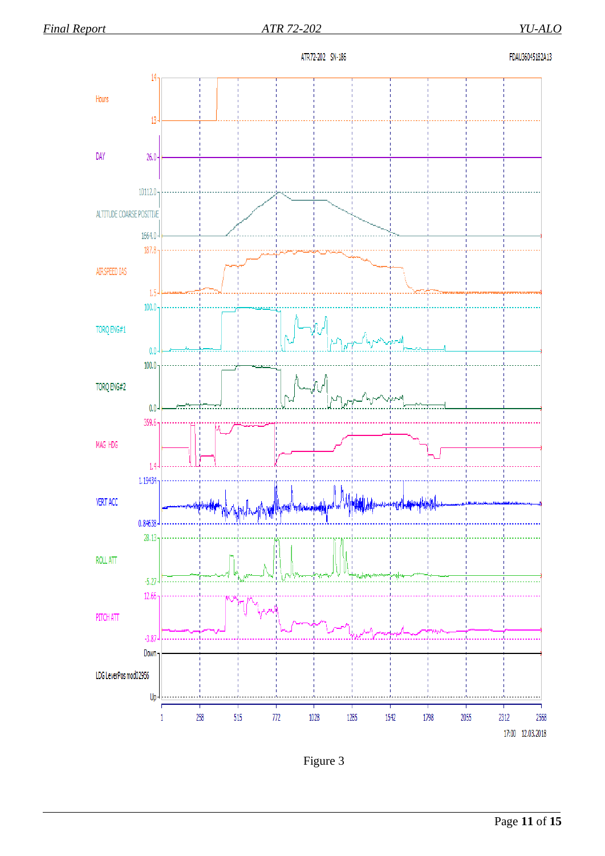

Figure 3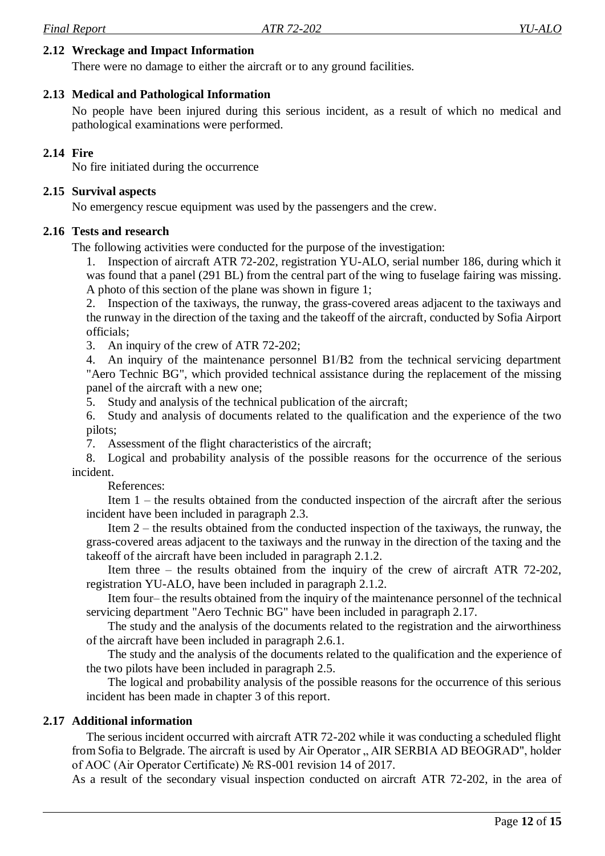#### **2.12 Wreckage and Impact Information**

<span id="page-11-0"></span>There were no damage to either the aircraft or to any ground facilities.

## **2.13 Medical and Pathological Information**

<span id="page-11-1"></span>No people have been injured during this serious incident, as a result of which no medical and pathological examinations were performed.

#### **2.14 Fire**

<span id="page-11-3"></span><span id="page-11-2"></span>No fire initiated during the occurrence

#### **2.15 Survival aspects**

<span id="page-11-4"></span>No emergency rescue equipment was used by the passengers and the crew.

#### **2.16 Tests and research**

The following activities were conducted for the purpose of the investigation:

1. Inspection of aircraft ATR 72-202, registration YU-ALO, serial number 186, during which it was found that a panel (291 BL) from the central part of the wing to fuselage fairing was missing. A photo of this section of the plane was shown in figure 1;

2. Inspection of the taxiways, the runway, the grass-covered areas adjacent to the taxiways and the runway in the direction of the taxing and the takeoff of the aircraft, conducted by Sofia Airport officials;

3. An inquiry of the crew of ATR 72-202;

4. An inquiry of the maintenance personnel В1/В2 from the technical servicing department "Aero Technic BG", which provided technical assistance during the replacement of the missing panel of the aircraft with a new one;

5. Study and analysis of the technical publication of the aircraft;

6. Study and analysis of documents related to the qualification and the experience of the two pilots;

7. Assessment of the flight characteristics of the aircraft;

8. Logical and probability analysis of the possible reasons for the occurrence of the serious incident.

References:

Item 1 – the results obtained from the conducted inspection of the aircraft after the serious incident have been included in paragraph 2.3.

Item 2 – the results obtained from the conducted inspection of the taxiways, the runway, the grass-covered areas adjacent to the taxiways and the runway in the direction of the taxing and the takeoff of the aircraft have been included in paragraph 2.1.2.

Item three – the results obtained from the inquiry of the crew of aircraft ATR 72-202, registration YU-ALO, have been included in paragraph 2.1.2.

Item four– the results obtained from the inquiry of the maintenance personnel of the technical servicing department "Aero Technic BG" have been included in paragraph 2.17.

The study and the analysis of the documents related to the registration and the airworthiness of the aircraft have been included in paragraph 2.6.1.

The study and the analysis of the documents related to the qualification and the experience of the two pilots have been included in paragraph 2.5.

The logical and probability analysis of the possible reasons for the occurrence of this serious incident has been made in chapter 3 of this report.

## **2.17 Additional information**

<span id="page-11-5"></span>The serious incident occurred with aircraft ATR 72-202 while it was conducting a scheduled flight from Sofia to Belgrade. The aircraft is used by Air Operator, AIR SERBIA AD BEOGRAD", holder of AOC (Air Operator Certificate) № RS-001 revision 14 of 2017.

As a result of the secondary visual inspection conducted on aircraft ATR 72-202, in the area of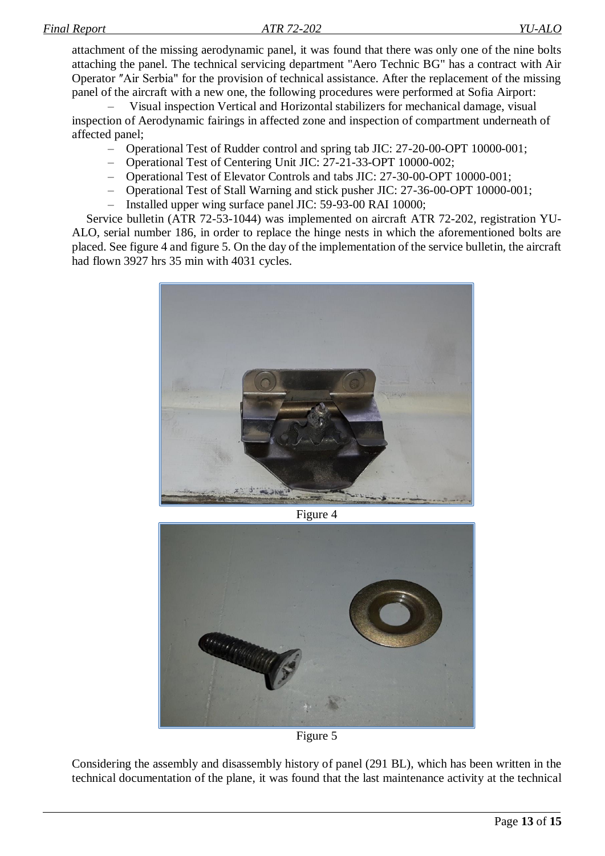attachment of the missing aerodynamic panel, it was found that there was only one of the nine bolts attaching the panel. The technical servicing department "Aero Technic BG" has a contract with Air Operator "Air Serbia" for the provision of technical assistance. After the replacement of the missing panel of the aircraft with a new one, the following procedures were performed at Sofia Airport:

– Visual inspection Vertical and Horizontal stabilizers for mechanical damage, visual inspection of Aerodynamic fairings in affected zone and inspection of compartment underneath of affected panel;

- Operational Test of Rudder control and spring tab JIC: 27-20-00-OPT 10000-001;
- Operational Test of Centering Unit JIC: 27-21-33-OPT 10000-002;
- Operational Test of Elevator Controls and tabs JIC: 27-30-00-OPT 10000-001;
- Operational Test of Stall Warning and stick pusher JIC: 27-36-00-OPT 10000-001;
- Installed upper wing surface panel JIC: 59-93-00 RAI 10000;

Service bulletin (ATR 72-53-1044) was implemented on aircraft ATR 72-202, registration YU-ALO, serial number 186, in order to replace the hinge nests in which the aforementioned bolts are placed. See figure 4 and figure 5. On the day of the implementation of the service bulletin, the aircraft had flown 3927 hrs 35 min with 4031 cycles.



Figure 4



Figure 5

Considering the assembly and disassembly history of panel (291 BL), which has been written in the technical documentation of the plane, it was found that the last maintenance activity at the technical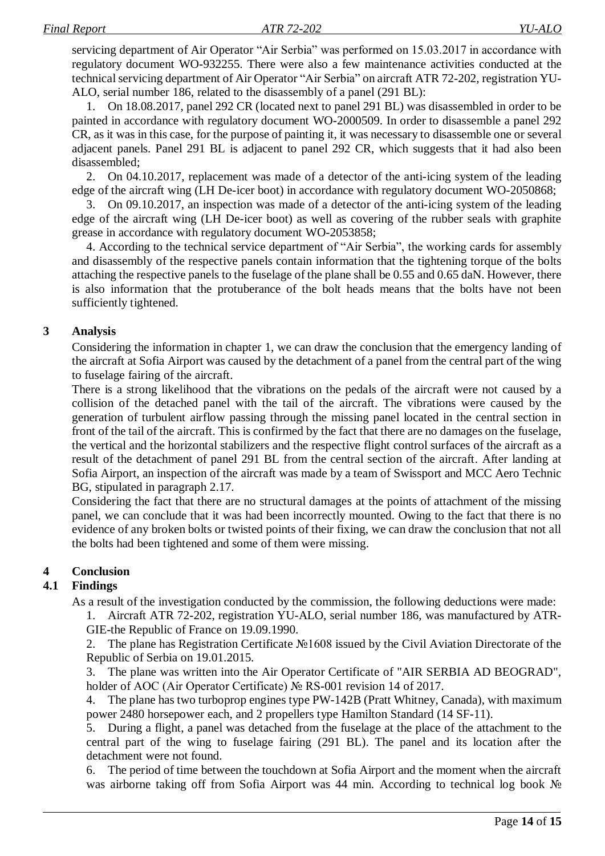servicing department of Air Operator "Air Serbia" was performed on 15.03.2017 in accordance with regulatory document WO-932255. There were also a few maintenance activities conducted at the technical servicing department of Air Operator "Air Serbia" on aircraft ATR 72-202, registration YU-ALO, serial number 186, related to the disassembly of a panel (291 BL):

1. On 18.08.2017, panel 292 CR (located next to panel 291 BL) was disassembled in order to be painted in accordance with regulatory document WO-2000509. In order to disassemble a panel 292 CR, as it was in this case, for the purpose of painting it, it was necessary to disassemble one or several adjacent panels. Panel 291 BL is adjacent to panel 292 CR, which suggests that it had also been disassembled;

2. On 04.10.2017, replacement was made of a detector of the anti-icing system of the leading edge of the aircraft wing (LH De-icer boot) in accordance with regulatory document WO-2050868;

3. On 09.10.2017, an inspection was made of a detector of the anti-icing system of the leading edge of the aircraft wing (LH De-icer boot) as well as covering of the rubber seals with graphite grease in accordance with regulatory document WO-2053858;

4. According to the technical service department of "Air Serbia", the working cards for assembly and disassembly of the respective panels contain information that the tightening torque of the bolts attaching the respective panels to the fuselage of the plane shall be 0.55 and 0.65 daN. However, there is also information that the protuberance of the bolt heads means that the bolts have not been sufficiently tightened.

## **3 Analysis**

<span id="page-13-0"></span>Considering the information in chapter 1, we can draw the conclusion that the emergency landing of the aircraft at Sofia Airport was caused by the detachment of a panel from the central part of the wing to fuselage fairing of the aircraft.

There is a strong likelihood that the vibrations on the pedals of the aircraft were not caused by a collision of the detached panel with the tail of the aircraft. The vibrations were caused by the generation of turbulent airflow passing through the missing panel located in the central section in front of the tail of the aircraft. This is confirmed by the fact that there are no damages on the fuselage, the vertical and the horizontal stabilizers and the respective flight control surfaces of the aircraft as a result of the detachment of panel 291 BL from the central section of the aircraft. After landing at Sofia Airport, an inspection of the aircraft was made by a team of Swissport and MCC Aero Technic BG, stipulated in paragraph 2.17.

Considering the fact that there are no structural damages at the points of attachment of the missing panel, we can conclude that it was had been incorrectly mounted. Owing to the fact that there is no evidence of any broken bolts or twisted points of their fixing, we can draw the conclusion that not all the bolts had been tightened and some of them were missing.

## <span id="page-13-1"></span>**4 Conclusion**

## **4.1 Findings**

<span id="page-13-2"></span>As a result of the investigation conducted by the commission, the following deductions were made:

1. Aircraft ATR 72-202, registration YU-ALO, serial number 186, was manufactured by ATR-GIE-the Republic of France on 19.09.1990.

2. The plane has Registration Certificate №1608 issued by the Civil Aviation Directorate of the Republic of Serbia on 19.01.2015.

3. The plane was written into the Air Operator Certificate of "AIR SERBIA AD BEOGRAD", holder of AOC (Air Operator Certificate) № RS-001 revision 14 of 2017.

4. The plane has two turboprop engines type PW-142B (Pratt Whitney, Canada), with maximum power 2480 horsepower each, and 2 propellers type Hamilton Standard (14 SF-11).

5. During a flight, a panel was detached from the fuselage at the place of the attachment to the central part of the wing to fuselage fairing (291 BL). The panel and its location after the detachment were not found.

6. The period of time between the touchdown at Sofia Airport and the moment when the aircraft was airborne taking off from Sofia Airport was 44 min. According to technical log book No